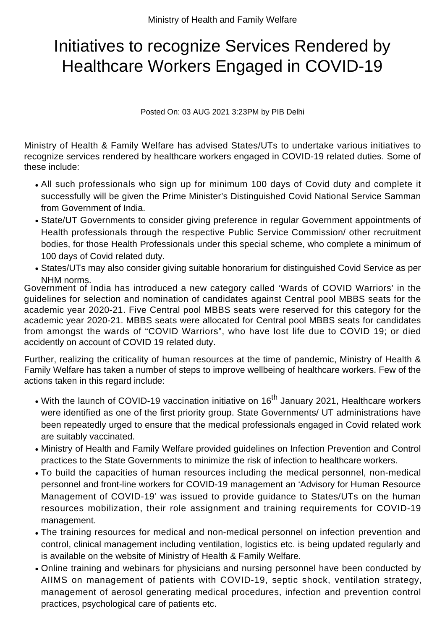## Initiatives to recognize Services Rendered by Healthcare Workers Engaged in COVID-19

Posted On: 03 AUG 2021 3:23PM by PIB Delhi

Ministry of Health & Family Welfare has advised States/UTs to undertake various initiatives to recognize services rendered by healthcare workers engaged in COVID-19 related duties. Some of these include:

- All such professionals who sign up for minimum 100 days of Covid duty and complete it successfully will be given the Prime Minister's Distinguished Covid National Service Samman from Government of India.
- State/UT Governments to consider giving preference in regular Government appointments of Health professionals through the respective Public Service Commission/ other recruitment bodies, for those Health Professionals under this special scheme, who complete a minimum of 100 days of Covid related duty.
- States/UTs may also consider giving suitable honorarium for distinguished Covid Service as per NHM norms.

Government of India has introduced a new category called 'Wards of COVID Warriors' in the guidelines for selection and nomination of candidates against Central pool MBBS seats for the academic year 2020-21. Five Central pool MBBS seats were reserved for this category for the academic year 2020-21. MBBS seats were allocated for Central pool MBBS seats for candidates from amongst the wards of "COVID Warriors", who have lost life due to COVID 19; or died accidently on account of COVID 19 related duty.

Further, realizing the criticality of human resources at the time of pandemic, Ministry of Health & Family Welfare has taken a number of steps to improve wellbeing of healthcare workers. Few of the actions taken in this regard include:

- With the launch of COVID-19 vaccination initiative on 16<sup>th</sup> January 2021, Healthcare workers were identified as one of the first priority group. State Governments/ UT administrations have been repeatedly urged to ensure that the medical professionals engaged in Covid related work are suitably vaccinated.
- Ministry of Health and Family Welfare provided guidelines on Infection Prevention and Control practices to the State Governments to minimize the risk of infection to healthcare workers.
- To build the capacities of human resources including the medical personnel, non-medical personnel and front-line workers for COVID-19 management an 'Advisory for Human Resource Management of COVID-19' was issued to provide guidance to States/UTs on the human resources mobilization, their role assignment and training requirements for COVID-19 management.
- The training resources for medical and non-medical personnel on infection prevention and control, clinical management including ventilation, logistics etc. is being updated regularly and is available on the website of Ministry of Health & Family Welfare.
- Online training and webinars for physicians and nursing personnel have been conducted by AIIMS on management of patients with COVID-19, septic shock, ventilation strategy, management of aerosol generating medical procedures, infection and prevention control practices, psychological care of patients etc.